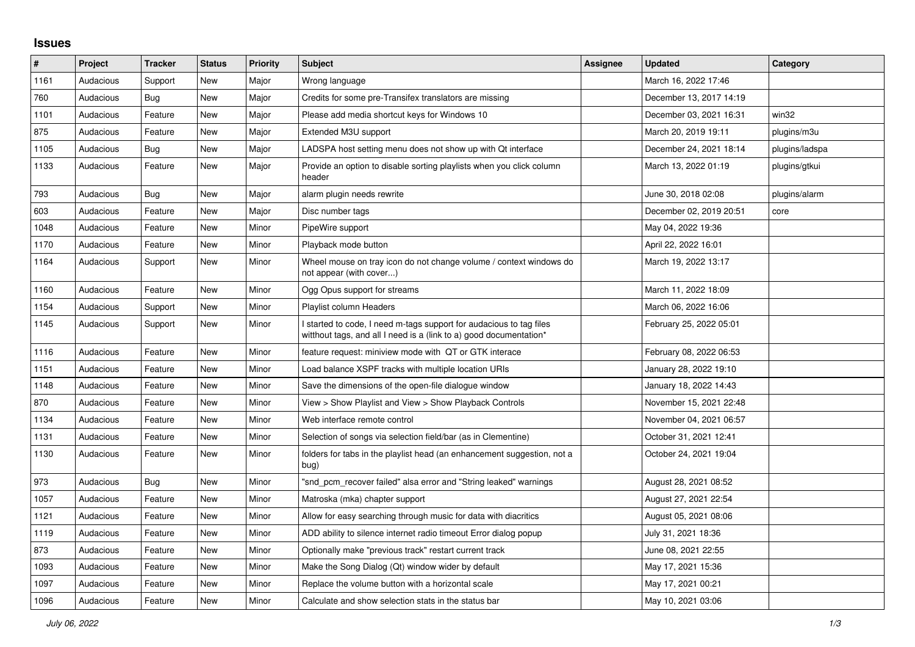## **Issues**

| $\vert$ # | Project   | <b>Tracker</b> | <b>Status</b> | <b>Priority</b> | <b>Subject</b>                                                                                                                            | Assignee | <b>Updated</b>          | Category       |
|-----------|-----------|----------------|---------------|-----------------|-------------------------------------------------------------------------------------------------------------------------------------------|----------|-------------------------|----------------|
| 1161      | Audacious | Support        | <b>New</b>    | Major           | Wrong language                                                                                                                            |          | March 16, 2022 17:46    |                |
| 760       | Audacious | Bug            | <b>New</b>    | Major           | Credits for some pre-Transifex translators are missing                                                                                    |          | December 13, 2017 14:19 |                |
| 1101      | Audacious | Feature        | <b>New</b>    | Major           | Please add media shortcut keys for Windows 10                                                                                             |          | December 03, 2021 16:31 | win32          |
| 875       | Audacious | Feature        | <b>New</b>    | Major           | Extended M3U support                                                                                                                      |          | March 20, 2019 19:11    | plugins/m3u    |
| 1105      | Audacious | <b>Bug</b>     | New           | Major           | LADSPA host setting menu does not show up with Qt interface                                                                               |          | December 24, 2021 18:14 | plugins/ladspa |
| 1133      | Audacious | Feature        | New           | Major           | Provide an option to disable sorting playlists when you click column<br>header                                                            |          | March 13, 2022 01:19    | plugins/gtkui  |
| 793       | Audacious | <b>Bug</b>     | <b>New</b>    | Major           | alarm plugin needs rewrite                                                                                                                |          | June 30, 2018 02:08     | plugins/alarm  |
| 603       | Audacious | Feature        | <b>New</b>    | Major           | Disc number tags                                                                                                                          |          | December 02, 2019 20:51 | core           |
| 1048      | Audacious | Feature        | New           | Minor           | PipeWire support                                                                                                                          |          | May 04, 2022 19:36      |                |
| 1170      | Audacious | Feature        | <b>New</b>    | Minor           | Playback mode button                                                                                                                      |          | April 22, 2022 16:01    |                |
| 1164      | Audacious | Support        | New           | Minor           | Wheel mouse on tray icon do not change volume / context windows do<br>not appear (with cover)                                             |          | March 19, 2022 13:17    |                |
| 1160      | Audacious | Feature        | New           | Minor           | Ogg Opus support for streams                                                                                                              |          | March 11, 2022 18:09    |                |
| 1154      | Audacious | Support        | New           | Minor           | Playlist column Headers                                                                                                                   |          | March 06, 2022 16:06    |                |
| 1145      | Audacious | Support        | New           | Minor           | I started to code, I need m-tags support for audacious to tag files<br>witthout tags, and all I need is a (link to a) good documentation* |          | February 25, 2022 05:01 |                |
| 1116      | Audacious | Feature        | New           | Minor           | feature request: miniview mode with QT or GTK interace                                                                                    |          | February 08, 2022 06:53 |                |
| 1151      | Audacious | Feature        | <b>New</b>    | Minor           | Load balance XSPF tracks with multiple location URIs                                                                                      |          | January 28, 2022 19:10  |                |
| 1148      | Audacious | Feature        | <b>New</b>    | Minor           | Save the dimensions of the open-file dialogue window                                                                                      |          | January 18, 2022 14:43  |                |
| 870       | Audacious | Feature        | New           | Minor           | View > Show Playlist and View > Show Playback Controls                                                                                    |          | November 15, 2021 22:48 |                |
| 1134      | Audacious | Feature        | New           | Minor           | Web interface remote control                                                                                                              |          | November 04, 2021 06:57 |                |
| 1131      | Audacious | Feature        | <b>New</b>    | Minor           | Selection of songs via selection field/bar (as in Clementine)                                                                             |          | October 31, 2021 12:41  |                |
| 1130      | Audacious | Feature        | New           | Minor           | folders for tabs in the playlist head (an enhancement suggestion, not a<br>bug)                                                           |          | October 24, 2021 19:04  |                |
| 973       | Audacious | Bug            | <b>New</b>    | Minor           | "snd_pcm_recover failed" alsa error and "String leaked" warnings                                                                          |          | August 28, 2021 08:52   |                |
| 1057      | Audacious | Feature        | New           | Minor           | Matroska (mka) chapter support                                                                                                            |          | August 27, 2021 22:54   |                |
| 1121      | Audacious | Feature        | <b>New</b>    | Minor           | Allow for easy searching through music for data with diacritics                                                                           |          | August 05, 2021 08:06   |                |
| 1119      | Audacious | Feature        | <b>New</b>    | Minor           | ADD ability to silence internet radio timeout Error dialog popup                                                                          |          | July 31, 2021 18:36     |                |
| 873       | Audacious | Feature        | New           | Minor           | Optionally make "previous track" restart current track                                                                                    |          | June 08, 2021 22:55     |                |
| 1093      | Audacious | Feature        | New           | Minor           | Make the Song Dialog (Qt) window wider by default                                                                                         |          | May 17, 2021 15:36      |                |
| 1097      | Audacious | Feature        | <b>New</b>    | Minor           | Replace the volume button with a horizontal scale                                                                                         |          | May 17, 2021 00:21      |                |
| 1096      | Audacious | Feature        | <b>New</b>    | Minor           | Calculate and show selection stats in the status bar                                                                                      |          | May 10, 2021 03:06      |                |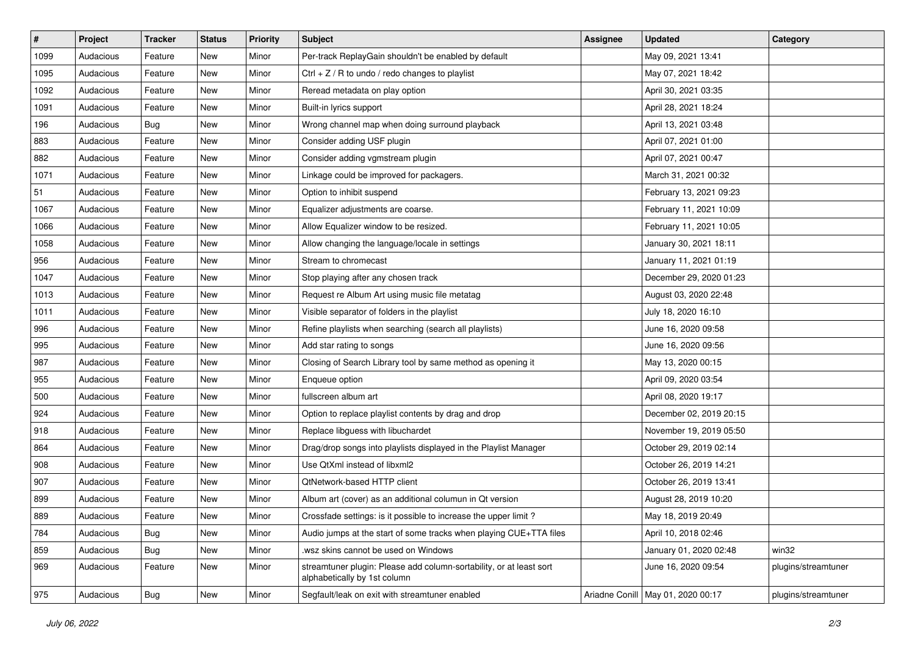| $\#$ | Project   | <b>Tracker</b> | <b>Status</b> | <b>Priority</b> | <b>Subject</b>                                                                                      | <b>Assignee</b> | <b>Updated</b>                      | Category            |
|------|-----------|----------------|---------------|-----------------|-----------------------------------------------------------------------------------------------------|-----------------|-------------------------------------|---------------------|
| 1099 | Audacious | Feature        | New           | Minor           | Per-track ReplayGain shouldn't be enabled by default                                                |                 | May 09, 2021 13:41                  |                     |
| 1095 | Audacious | Feature        | New           | Minor           | $Ctrl + Z / R$ to undo / redo changes to playlist                                                   |                 | May 07, 2021 18:42                  |                     |
| 1092 | Audacious | Feature        | New           | Minor           | Reread metadata on play option                                                                      |                 | April 30, 2021 03:35                |                     |
| 1091 | Audacious | Feature        | New           | Minor           | Built-in lyrics support                                                                             |                 | April 28, 2021 18:24                |                     |
| 196  | Audacious | Bug            | New           | Minor           | Wrong channel map when doing surround playback                                                      |                 | April 13, 2021 03:48                |                     |
| 883  | Audacious | Feature        | New           | Minor           | Consider adding USF plugin                                                                          |                 | April 07, 2021 01:00                |                     |
| 882  | Audacious | Feature        | New           | Minor           | Consider adding vgmstream plugin                                                                    |                 | April 07, 2021 00:47                |                     |
| 1071 | Audacious | Feature        | New           | Minor           | Linkage could be improved for packagers.                                                            |                 | March 31, 2021 00:32                |                     |
| 51   | Audacious | Feature        | New           | Minor           | Option to inhibit suspend                                                                           |                 | February 13, 2021 09:23             |                     |
| 1067 | Audacious | Feature        | New           | Minor           | Equalizer adjustments are coarse.                                                                   |                 | February 11, 2021 10:09             |                     |
| 1066 | Audacious | Feature        | New           | Minor           | Allow Equalizer window to be resized.                                                               |                 | February 11, 2021 10:05             |                     |
| 1058 | Audacious | Feature        | New           | Minor           | Allow changing the language/locale in settings                                                      |                 | January 30, 2021 18:11              |                     |
| 956  | Audacious | Feature        | New           | Minor           | Stream to chromecast                                                                                |                 | January 11, 2021 01:19              |                     |
| 1047 | Audacious | Feature        | New           | Minor           | Stop playing after any chosen track                                                                 |                 | December 29, 2020 01:23             |                     |
| 1013 | Audacious | Feature        | New           | Minor           | Request re Album Art using music file metatag                                                       |                 | August 03, 2020 22:48               |                     |
| 1011 | Audacious | Feature        | New           | Minor           | Visible separator of folders in the playlist                                                        |                 | July 18, 2020 16:10                 |                     |
| 996  | Audacious | Feature        | New           | Minor           | Refine playlists when searching (search all playlists)                                              |                 | June 16, 2020 09:58                 |                     |
| 995  | Audacious | Feature        | New           | Minor           | Add star rating to songs                                                                            |                 | June 16, 2020 09:56                 |                     |
| 987  | Audacious | Feature        | New           | Minor           | Closing of Search Library tool by same method as opening it                                         |                 | May 13, 2020 00:15                  |                     |
| 955  | Audacious | Feature        | New           | Minor           | Enqueue option                                                                                      |                 | April 09, 2020 03:54                |                     |
| 500  | Audacious | Feature        | New           | Minor           | fullscreen album art                                                                                |                 | April 08, 2020 19:17                |                     |
| 924  | Audacious | Feature        | New           | Minor           | Option to replace playlist contents by drag and drop                                                |                 | December 02, 2019 20:15             |                     |
| 918  | Audacious | Feature        | New           | Minor           | Replace libguess with libuchardet                                                                   |                 | November 19, 2019 05:50             |                     |
| 864  | Audacious | Feature        | New           | Minor           | Drag/drop songs into playlists displayed in the Playlist Manager                                    |                 | October 29, 2019 02:14              |                     |
| 908  | Audacious | Feature        | New           | Minor           | Use QtXml instead of libxml2                                                                        |                 | October 26, 2019 14:21              |                     |
| 907  | Audacious | Feature        | New           | Minor           | QtNetwork-based HTTP client                                                                         |                 | October 26, 2019 13:41              |                     |
| 899  | Audacious | Feature        | New           | Minor           | Album art (cover) as an additional columun in Qt version                                            |                 | August 28, 2019 10:20               |                     |
| 889  | Audacious | Feature        | New           | Minor           | Crossfade settings: is it possible to increase the upper limit?                                     |                 | May 18, 2019 20:49                  |                     |
| 784  | Audacious | Bug            | New           | Minor           | Audio jumps at the start of some tracks when playing CUE+TTA files                                  |                 | April 10, 2018 02:46                |                     |
| 859  | Audacious | <b>Bug</b>     | New           | Minor           | wsz skins cannot be used on Windows                                                                 |                 | January 01, 2020 02:48              | win32               |
| 969  | Audacious | Feature        | New           | Minor           | streamtuner plugin: Please add column-sortability, or at least sort<br>alphabetically by 1st column |                 | June 16, 2020 09:54                 | plugins/streamtuner |
| 975  | Audacious | Bug            | New           | Minor           | Segfault/leak on exit with streamtuner enabled                                                      |                 | Ariadne Conill   May 01, 2020 00:17 | plugins/streamtuner |